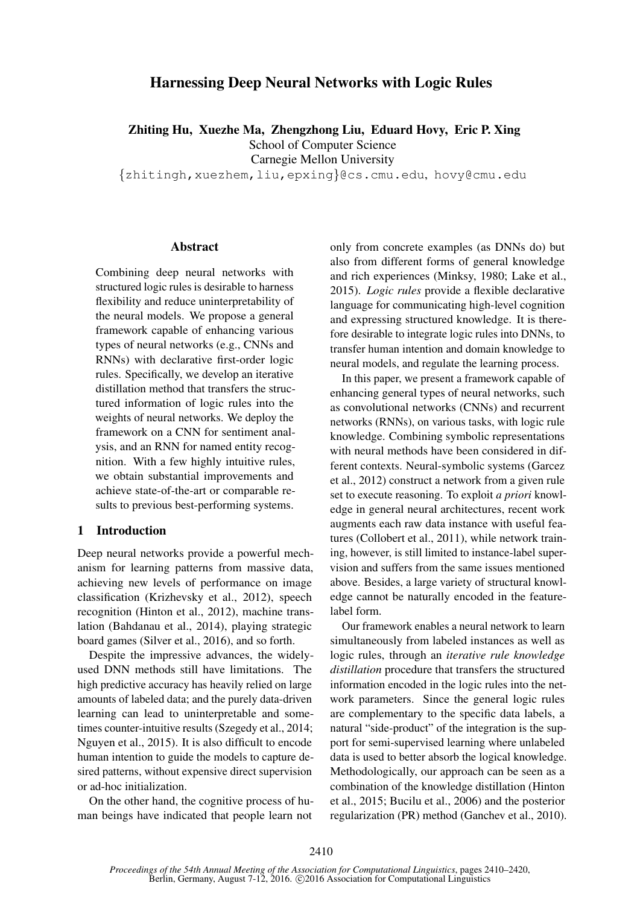# Harnessing Deep Neural Networks with Logic Rules

Zhiting Hu, Xuezhe Ma, Zhengzhong Liu, Eduard Hovy, Eric P. Xing

School of Computer Science

Carnegie Mellon University

{zhitingh,xuezhem,liu,epxing}@cs.cmu.edu, hovy@cmu.edu

## Abstract

Combining deep neural networks with structured logic rules is desirable to harness flexibility and reduce uninterpretability of the neural models. We propose a general framework capable of enhancing various types of neural networks (e.g., CNNs and RNNs) with declarative first-order logic rules. Specifically, we develop an iterative distillation method that transfers the structured information of logic rules into the weights of neural networks. We deploy the framework on a CNN for sentiment analysis, and an RNN for named entity recognition. With a few highly intuitive rules, we obtain substantial improvements and achieve state-of-the-art or comparable results to previous best-performing systems.

# 1 Introduction

Deep neural networks provide a powerful mechanism for learning patterns from massive data, achieving new levels of performance on image classification (Krizhevsky et al., 2012), speech recognition (Hinton et al., 2012), machine translation (Bahdanau et al., 2014), playing strategic board games (Silver et al., 2016), and so forth.

Despite the impressive advances, the widelyused DNN methods still have limitations. The high predictive accuracy has heavily relied on large amounts of labeled data; and the purely data-driven learning can lead to uninterpretable and sometimes counter-intuitive results (Szegedy et al., 2014; Nguyen et al., 2015). It is also difficult to encode human intention to guide the models to capture desired patterns, without expensive direct supervision or ad-hoc initialization.

On the other hand, the cognitive process of human beings have indicated that people learn not

only from concrete examples (as DNNs do) but also from different forms of general knowledge and rich experiences (Minksy, 1980; Lake et al., 2015). *Logic rules* provide a flexible declarative language for communicating high-level cognition and expressing structured knowledge. It is therefore desirable to integrate logic rules into DNNs, to transfer human intention and domain knowledge to neural models, and regulate the learning process.

In this paper, we present a framework capable of enhancing general types of neural networks, such as convolutional networks (CNNs) and recurrent networks (RNNs), on various tasks, with logic rule knowledge. Combining symbolic representations with neural methods have been considered in different contexts. Neural-symbolic systems (Garcez et al., 2012) construct a network from a given rule set to execute reasoning. To exploit *a priori* knowledge in general neural architectures, recent work augments each raw data instance with useful features (Collobert et al., 2011), while network training, however, is still limited to instance-label supervision and suffers from the same issues mentioned above. Besides, a large variety of structural knowledge cannot be naturally encoded in the featurelabel form.

Our framework enables a neural network to learn simultaneously from labeled instances as well as logic rules, through an *iterative rule knowledge distillation* procedure that transfers the structured information encoded in the logic rules into the network parameters. Since the general logic rules are complementary to the specific data labels, a natural "side-product" of the integration is the support for semi-supervised learning where unlabeled data is used to better absorb the logical knowledge. Methodologically, our approach can be seen as a combination of the knowledge distillation (Hinton et al., 2015; Bucilu et al., 2006) and the posterior regularization (PR) method (Ganchev et al., 2010).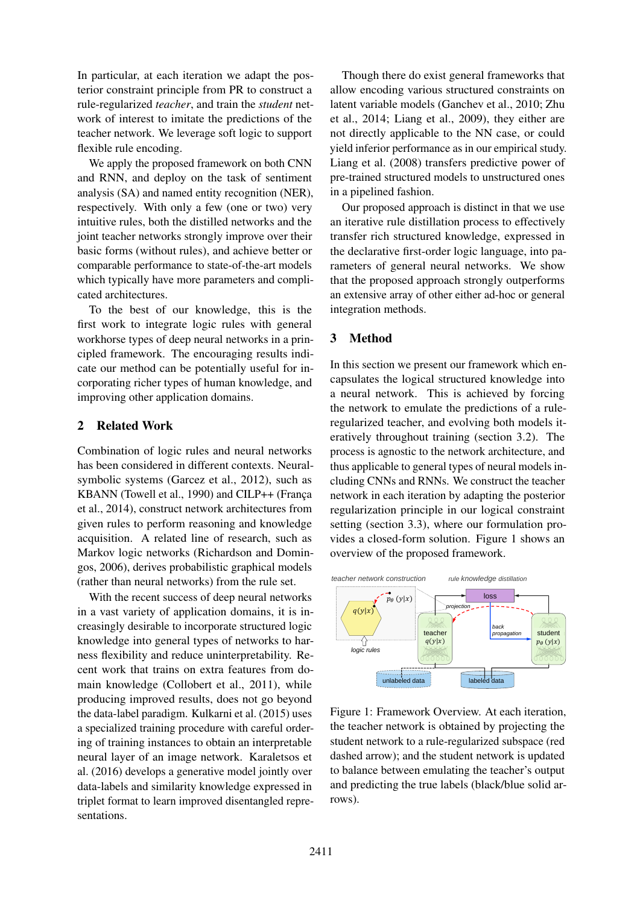In particular, at each iteration we adapt the posterior constraint principle from PR to construct a rule-regularized *teacher*, and train the *student* network of interest to imitate the predictions of the teacher network. We leverage soft logic to support flexible rule encoding.

We apply the proposed framework on both CNN and RNN, and deploy on the task of sentiment analysis (SA) and named entity recognition (NER), respectively. With only a few (one or two) very intuitive rules, both the distilled networks and the joint teacher networks strongly improve over their basic forms (without rules), and achieve better or comparable performance to state-of-the-art models which typically have more parameters and complicated architectures.

To the best of our knowledge, this is the first work to integrate logic rules with general workhorse types of deep neural networks in a principled framework. The encouraging results indicate our method can be potentially useful for incorporating richer types of human knowledge, and improving other application domains.

# 2 Related Work

Combination of logic rules and neural networks has been considered in different contexts. Neuralsymbolic systems (Garcez et al., 2012), such as KBANN (Towell et al., 1990) and CILP++ (França et al., 2014), construct network architectures from given rules to perform reasoning and knowledge acquisition. A related line of research, such as Markov logic networks (Richardson and Domingos, 2006), derives probabilistic graphical models (rather than neural networks) from the rule set.

With the recent success of deep neural networks in a vast variety of application domains, it is increasingly desirable to incorporate structured logic knowledge into general types of networks to harness flexibility and reduce uninterpretability. Recent work that trains on extra features from domain knowledge (Collobert et al., 2011), while producing improved results, does not go beyond the data-label paradigm. Kulkarni et al. (2015) uses a specialized training procedure with careful ordering of training instances to obtain an interpretable neural layer of an image network. Karaletsos et al. (2016) develops a generative model jointly over data-labels and similarity knowledge expressed in triplet format to learn improved disentangled representations.

Though there do exist general frameworks that allow encoding various structured constraints on latent variable models (Ganchev et al., 2010; Zhu et al., 2014; Liang et al., 2009), they either are not directly applicable to the NN case, or could yield inferior performance as in our empirical study. Liang et al. (2008) transfers predictive power of pre-trained structured models to unstructured ones in a pipelined fashion.

Our proposed approach is distinct in that we use an iterative rule distillation process to effectively transfer rich structured knowledge, expressed in the declarative first-order logic language, into parameters of general neural networks. We show that the proposed approach strongly outperforms an extensive array of other either ad-hoc or general integration methods.

# 3 Method

In this section we present our framework which encapsulates the logical structured knowledge into a neural network. This is achieved by forcing the network to emulate the predictions of a ruleregularized teacher, and evolving both models iteratively throughout training (section 3.2). The process is agnostic to the network architecture, and thus applicable to general types of neural models including CNNs and RNNs. We construct the teacher network in each iteration by adapting the posterior regularization principle in our logical constraint setting (section 3.3), where our formulation provides a closed-form solution. Figure 1 shows an overview of the proposed framework.



Figure 1: Framework Overview. At each iteration, the teacher network is obtained by projecting the student network to a rule-regularized subspace (red dashed arrow); and the student network is updated to balance between emulating the teacher's output and predicting the true labels (black/blue solid arrows).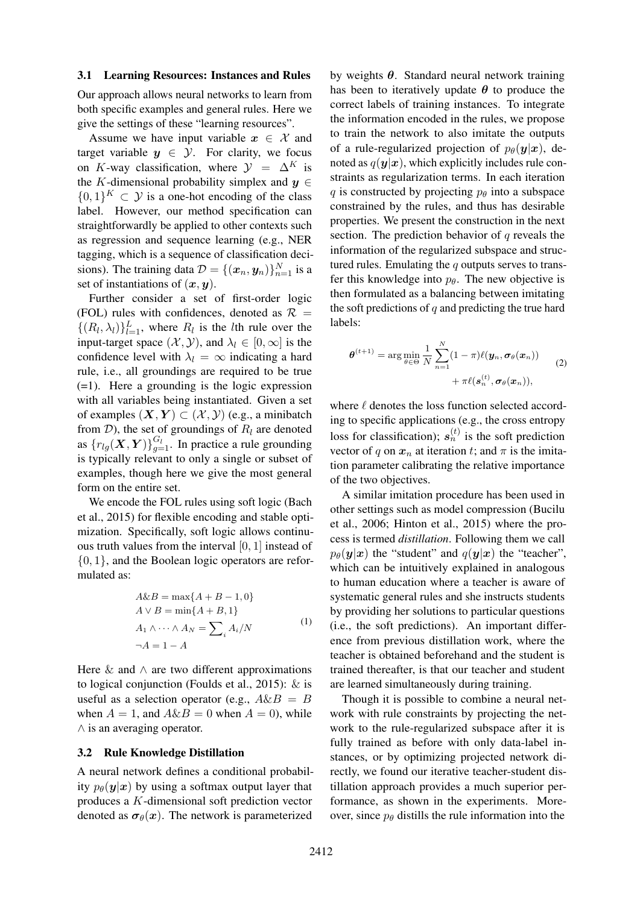#### 3.1 Learning Resources: Instances and Rules

Our approach allows neural networks to learn from both specific examples and general rules. Here we give the settings of these "learning resources".

Assume we have input variable  $x \in \mathcal{X}$  and target variable  $y \in \mathcal{Y}$ . For clarity, we focus on K-way classification, where  $\mathcal{Y} = \Delta^K$  is the K-dimensional probability simplex and  $y \in$  $\{0,1\}^K \subset \mathcal{Y}$  is a one-hot encoding of the class label. However, our method specification can straightforwardly be applied to other contexts such as regression and sequence learning (e.g., NER tagging, which is a sequence of classification decisions). The training data  $\mathcal{D} = \{(\boldsymbol{x}_n, \boldsymbol{y}_n)\}_{n=1}^N$  is a set of instantiations of  $(x, y)$ .

Further consider a set of first-order logic (FOL) rules with confidences, denoted as  $\mathcal{R}$  =  $\{(R_l, \lambda_l)\}_{l=1}^L$ , where  $R_l$  is the *l*th rule over the input-target space  $(\mathcal{X}, \mathcal{Y})$ , and  $\lambda_l \in [0, \infty]$  is the confidence level with  $\lambda_l = \infty$  indicating a hard rule, i.e., all groundings are required to be true (=1). Here a grounding is the logic expression with all variables being instantiated. Given a set of examples  $(X, Y) \subset (\mathcal{X}, \mathcal{Y})$  (e.g., a minibatch from  $D$ ), the set of groundings of  $R_l$  are denoted as  $\{r_{lg}(\boldsymbol{X}, \boldsymbol{Y})\}_{g=1}^{G_l}$ . In practice a rule grounding is typically relevant to only a single or subset of examples, though here we give the most general form on the entire set.

We encode the FOL rules using soft logic (Bach et al., 2015) for flexible encoding and stable optimization. Specifically, soft logic allows continuous truth values from the interval [0, 1] instead of {0, 1}, and the Boolean logic operators are reformulated as:

$$
A \& B = \max\{A + B - 1, 0\}
$$
  
\n
$$
A \lor B = \min\{A + B, 1\}
$$
  
\n
$$
A_1 \land \dots \land A_N = \sum_i A_i/N
$$
  
\n
$$
\neg A = 1 - A
$$
\n(1)

Here  $\&$  and  $\wedge$  are two different approximations to logical conjunction (Foulds et al., 2015): & is useful as a selection operator (e.g.,  $A\&B = B$ when  $A = 1$ , and  $A \& B = 0$  when  $A = 0$ , while ∧ is an averaging operator.

#### 3.2 Rule Knowledge Distillation

A neural network defines a conditional probability  $p_{\theta}(\mathbf{y}|\mathbf{x})$  by using a softmax output layer that produces a K-dimensional soft prediction vector denoted as  $\sigma_{\theta}(x)$ . The network is parameterized

by weights  $\theta$ . Standard neural network training has been to iteratively update  $\theta$  to produce the correct labels of training instances. To integrate the information encoded in the rules, we propose to train the network to also imitate the outputs of a rule-regularized projection of  $p_{\theta}(\mathbf{y}|\mathbf{x})$ , denoted as  $q(\mathbf{y}|\mathbf{x})$ , which explicitly includes rule constraints as regularization terms. In each iteration q is constructed by projecting  $p_{\theta}$  into a subspace constrained by the rules, and thus has desirable properties. We present the construction in the next section. The prediction behavior of  $q$  reveals the information of the regularized subspace and structured rules. Emulating the  $q$  outputs serves to transfer this knowledge into  $p_{\theta}$ . The new objective is then formulated as a balancing between imitating the soft predictions of  $q$  and predicting the true hard labels:

$$
\boldsymbol{\theta}^{(t+1)} = \arg\min_{\theta \in \Theta} \frac{1}{N} \sum_{n=1}^{N} (1 - \pi) \ell(\boldsymbol{y}_n, \boldsymbol{\sigma}_{\theta}(\boldsymbol{x}_n)) + \pi \ell(s_n^{(t)}, \boldsymbol{\sigma}_{\theta}(\boldsymbol{x}_n)), \tag{2}
$$

where  $\ell$  denotes the loss function selected according to specific applications (e.g., the cross entropy loss for classification);  $s_n^{(t)}$  is the soft prediction vector of q on  $x_n$  at iteration t; and  $\pi$  is the imitation parameter calibrating the relative importance of the two objectives.

A similar imitation procedure has been used in other settings such as model compression (Bucilu et al., 2006; Hinton et al., 2015) where the process is termed *distillation*. Following them we call  $p_{\theta}(\mathbf{y}|\mathbf{x})$  the "student" and  $q(\mathbf{y}|\mathbf{x})$  the "teacher", which can be intuitively explained in analogous to human education where a teacher is aware of systematic general rules and she instructs students by providing her solutions to particular questions (i.e., the soft predictions). An important difference from previous distillation work, where the teacher is obtained beforehand and the student is trained thereafter, is that our teacher and student are learned simultaneously during training.

Though it is possible to combine a neural network with rule constraints by projecting the network to the rule-regularized subspace after it is fully trained as before with only data-label instances, or by optimizing projected network directly, we found our iterative teacher-student distillation approach provides a much superior performance, as shown in the experiments. Moreover, since  $p_{\theta}$  distills the rule information into the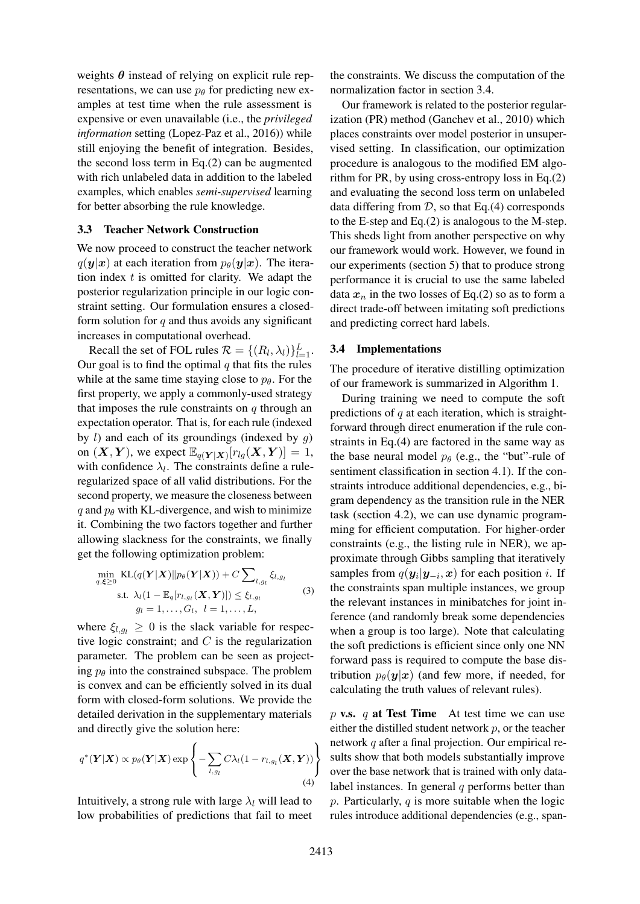weights  $\theta$  instead of relying on explicit rule representations, we can use  $p_{\theta}$  for predicting new examples at test time when the rule assessment is expensive or even unavailable (i.e., the *privileged information* setting (Lopez-Paz et al., 2016)) while still enjoying the benefit of integration. Besides, the second loss term in Eq.(2) can be augmented with rich unlabeled data in addition to the labeled examples, which enables *semi-supervised* learning for better absorbing the rule knowledge.

## 3.3 Teacher Network Construction

We now proceed to construct the teacher network  $q(\mathbf{y}|\mathbf{x})$  at each iteration from  $p_{\theta}(\mathbf{y}|\mathbf{x})$ . The iteration index  $t$  is omitted for clarity. We adapt the posterior regularization principle in our logic constraint setting. Our formulation ensures a closedform solution for  $q$  and thus avoids any significant increases in computational overhead.

Recall the set of FOL rules  $\mathcal{R} = \{(R_l, \lambda_l)\}_{l=1}^L$ . Our goal is to find the optimal  $q$  that fits the rules while at the same time staying close to  $p_\theta$ . For the first property, we apply a commonly-used strategy that imposes the rule constraints on  $q$  through an expectation operator. That is, for each rule (indexed by  $l$ ) and each of its groundings (indexed by  $g$ ) on  $(X, Y)$ , we expect  $\mathbb{E}_{q(Y|X)}[r_{lg}(X, Y)] = 1$ , with confidence  $\lambda_l$ . The constraints define a ruleregularized space of all valid distributions. For the second property, we measure the closeness between q and  $p_\theta$  with KL-divergence, and wish to minimize it. Combining the two factors together and further allowing slackness for the constraints, we finally get the following optimization problem:

$$
\min_{q,\boldsymbol{\xi}\geq 0} \text{KL}(q(\boldsymbol{Y}|\boldsymbol{X})||p_{\theta}(\boldsymbol{Y}|\boldsymbol{X})) + C \sum_{l,g_l} \xi_{l,g_l}
$$
\n
$$
\text{s.t. } \lambda_l (1 - \mathbb{E}_q[r_{l,g_l}(\boldsymbol{X}, \boldsymbol{Y})]) \leq \xi_{l,g_l}
$$
\n
$$
g_l = 1, \dots, G_l, \quad l = 1, \dots, L,
$$
\n
$$
(3)
$$

where  $\xi_{l,q_l} \geq 0$  is the slack variable for respective logic constraint; and  $C$  is the regularization parameter. The problem can be seen as projecting  $p_\theta$  into the constrained subspace. The problem is convex and can be efficiently solved in its dual form with closed-form solutions. We provide the detailed derivation in the supplementary materials and directly give the solution here:

$$
q^*(\boldsymbol{Y}|\boldsymbol{X}) \propto p_\theta(\boldsymbol{Y}|\boldsymbol{X}) \exp\left\{-\sum_{l,g_l} C\lambda_l(1-r_{l,g_l}(\boldsymbol{X},\boldsymbol{Y}))\right\}
$$
\n(4)

Intuitively, a strong rule with large  $\lambda_l$  will lead to low probabilities of predictions that fail to meet the constraints. We discuss the computation of the normalization factor in section 3.4.

Our framework is related to the posterior regularization (PR) method (Ganchev et al., 2010) which places constraints over model posterior in unsupervised setting. In classification, our optimization procedure is analogous to the modified EM algorithm for PR, by using cross-entropy loss in Eq.(2) and evaluating the second loss term on unlabeled data differing from  $D$ , so that Eq.(4) corresponds to the E-step and Eq.(2) is analogous to the M-step. This sheds light from another perspective on why our framework would work. However, we found in our experiments (section 5) that to produce strong performance it is crucial to use the same labeled data  $x_n$  in the two losses of Eq.(2) so as to form a direct trade-off between imitating soft predictions and predicting correct hard labels.

#### 3.4 Implementations

The procedure of iterative distilling optimization of our framework is summarized in Algorithm 1.

During training we need to compute the soft predictions of  $q$  at each iteration, which is straightforward through direct enumeration if the rule constraints in Eq.(4) are factored in the same way as the base neural model  $p_\theta$  (e.g., the "but"-rule of sentiment classification in section 4.1). If the constraints introduce additional dependencies, e.g., bigram dependency as the transition rule in the NER task (section 4.2), we can use dynamic programming for efficient computation. For higher-order constraints (e.g., the listing rule in NER), we approximate through Gibbs sampling that iteratively samples from  $q(\mathbf{y}_i|\mathbf{y}_{-i}, \mathbf{x})$  for each position *i*. If the constraints span multiple instances, we group the relevant instances in minibatches for joint inference (and randomly break some dependencies when a group is too large). Note that calculating the soft predictions is efficient since only one NN forward pass is required to compute the base distribution  $p_{\theta}(\mathbf{y}|\mathbf{x})$  (and few more, if needed, for calculating the truth values of relevant rules).

p v.s. q at Test Time At test time we can use either the distilled student network  $p$ , or the teacher network q after a final projection. Our empirical results show that both models substantially improve over the base network that is trained with only datalabel instances. In general  $q$  performs better than  $p$ . Particularly,  $q$  is more suitable when the logic rules introduce additional dependencies (e.g., span-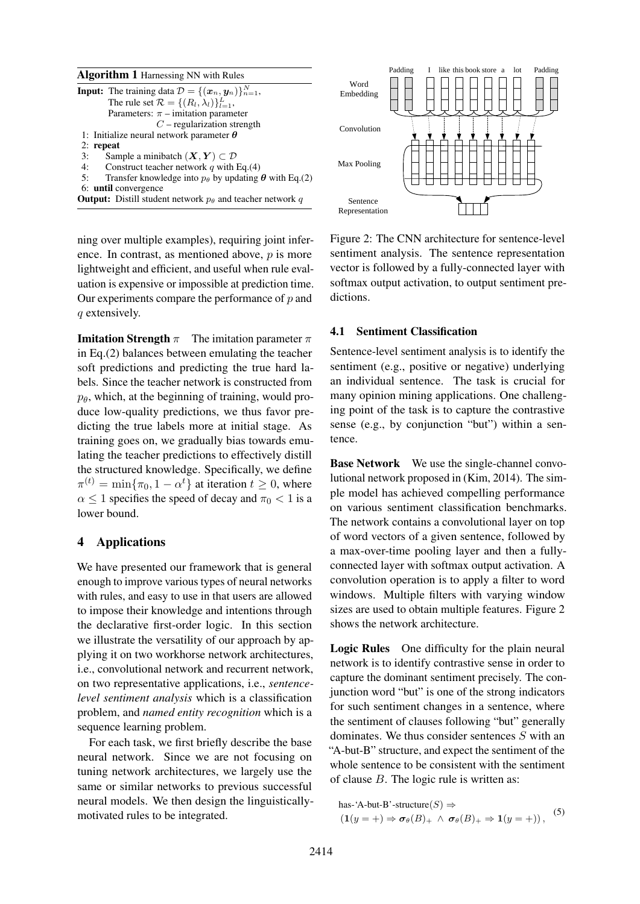| <b>Algorithm 1</b> Harnessing NN with Rules                                                        |               |
|----------------------------------------------------------------------------------------------------|---------------|
| <b>Input:</b> The training data $\mathcal{D} = \{(\boldsymbol{x}_n, \boldsymbol{y}_n)\}_{n=1}^N$ , | Wor<br>Embedo |
| The rule set $\mathcal{R} = \{(R_l, \lambda_l)\}_{l=1}^L$ ,                                        |               |
| Parameters: $\pi$ – imitation parameter                                                            |               |
| $C$ – regularization strength                                                                      | Convoli       |
| 1: Initialize neural network parameter $\theta$                                                    |               |
| $2:$ repeat                                                                                        |               |
| Sample a minibatch $(X, Y) \subset \mathcal{D}$<br>3:                                              |               |
| Construct teacher network q with Eq.(4)<br>4:                                                      | Max Poo       |
| 5:<br>Transfer knowledge into $p_{\theta}$ by updating $\theta$ with Eq.(2)                        |               |
| 6: <b>until</b> convergence                                                                        |               |
| <b>Output:</b> Distill student network $p_{\theta}$ and teacher network q                          | Sente         |

ning over multiple examples), requiring joint inference. In contrast, as mentioned above,  $p$  is more lightweight and efficient, and useful when rule evaluation is expensive or impossible at prediction time. Our experiments compare the performance of  $p$  and q extensively.

**Imitation Strength**  $\pi$  The imitation parameter  $\pi$ in Eq.(2) balances between emulating the teacher soft predictions and predicting the true hard labels. Since the teacher network is constructed from  $p_{\theta}$ , which, at the beginning of training, would produce low-quality predictions, we thus favor predicting the true labels more at initial stage. As training goes on, we gradually bias towards emulating the teacher predictions to effectively distill the structured knowledge. Specifically, we define  $\pi^{(t)} = \min\{\pi_0, 1 - \alpha^t\}$  at iteration  $t \ge 0$ , where  $\alpha \leq 1$  specifies the speed of decay and  $\pi_0 < 1$  is a lower bound.

# 4 Applications

We have presented our framework that is general enough to improve various types of neural networks with rules, and easy to use in that users are allowed to impose their knowledge and intentions through the declarative first-order logic. In this section we illustrate the versatility of our approach by applying it on two workhorse network architectures, i.e., convolutional network and recurrent network, on two representative applications, i.e., *sentencelevel sentiment analysis* which is a classification problem, and *named entity recognition* which is a sequence learning problem.

For each task, we first briefly describe the base neural network. Since we are not focusing on tuning network architectures, we largely use the same or similar networks to previous successful neural models. We then design the linguisticallymotivated rules to be integrated.



Figure 2: The CNN architecture for sentence-level sentiment analysis. The sentence representation vector is followed by a fully-connected layer with softmax output activation, to output sentiment predictions.

#### 4.1 Sentiment Classification

Sentence-level sentiment analysis is to identify the sentiment (e.g., positive or negative) underlying an individual sentence. The task is crucial for many opinion mining applications. One challenging point of the task is to capture the contrastive sense (e.g., by conjunction "but") within a sentence.

Base Network We use the single-channel convolutional network proposed in (Kim, 2014). The simple model has achieved compelling performance on various sentiment classification benchmarks. The network contains a convolutional layer on top of word vectors of a given sentence, followed by a max-over-time pooling layer and then a fullyconnected layer with softmax output activation. A convolution operation is to apply a filter to word windows. Multiple filters with varying window sizes are used to obtain multiple features. Figure 2 shows the network architecture.

Logic Rules One difficulty for the plain neural network is to identify contrastive sense in order to capture the dominant sentiment precisely. The conjunction word "but" is one of the strong indicators for such sentiment changes in a sentence, where the sentiment of clauses following "but" generally dominates. We thus consider sentences S with an "A-but-B" structure, and expect the sentiment of the whole sentence to be consistent with the sentiment of clause  $B$ . The logic rule is written as:

has-'A-but-B'-structure $(S) \Rightarrow$ (1(y = +)  $\Rightarrow \sigma_{\theta}(B)_{+} \wedge \sigma_{\theta}(B)_{+} \Rightarrow 1(y = +)$ ), (5)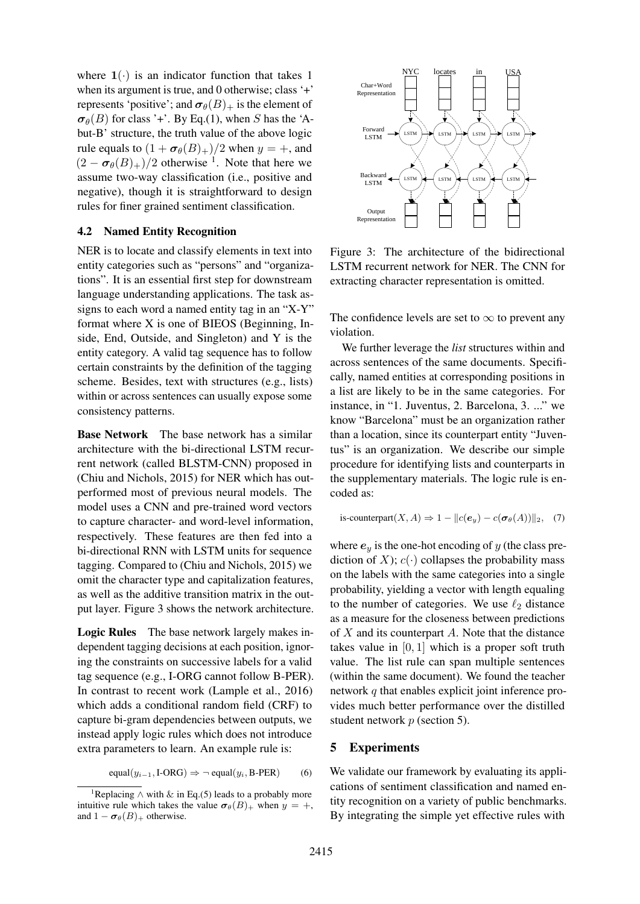where  $1(\cdot)$  is an indicator function that takes 1 when its argument is true, and 0 otherwise; class '+' represents 'positive'; and  $\sigma_{\theta}(B)$  is the element of  $\sigma_{\theta}(B)$  for class '+'. By Eq.(1), when S has the 'Abut-B' structure, the truth value of the above logic rule equals to  $(1 + \sigma_{\theta}(B)_+)/2$  when  $y = +$ , and  $(2 - \sigma_{\theta}(B)_+)/2$  otherwise <sup>1</sup>. Note that here we assume two-way classification (i.e., positive and negative), though it is straightforward to design rules for finer grained sentiment classification.

## 4.2 Named Entity Recognition

NER is to locate and classify elements in text into entity categories such as "persons" and "organizations". It is an essential first step for downstream language understanding applications. The task assigns to each word a named entity tag in an "X-Y" format where X is one of BIEOS (Beginning, Inside, End, Outside, and Singleton) and Y is the entity category. A valid tag sequence has to follow certain constraints by the definition of the tagging scheme. Besides, text with structures (e.g., lists) within or across sentences can usually expose some consistency patterns.

Base Network The base network has a similar architecture with the bi-directional LSTM recurrent network (called BLSTM-CNN) proposed in (Chiu and Nichols, 2015) for NER which has outperformed most of previous neural models. The model uses a CNN and pre-trained word vectors to capture character- and word-level information, respectively. These features are then fed into a bi-directional RNN with LSTM units for sequence tagging. Compared to (Chiu and Nichols, 2015) we omit the character type and capitalization features, as well as the additive transition matrix in the output layer. Figure 3 shows the network architecture.

Logic Rules The base network largely makes independent tagging decisions at each position, ignoring the constraints on successive labels for a valid tag sequence (e.g., I-ORG cannot follow B-PER). In contrast to recent work (Lample et al., 2016) which adds a conditional random field (CRF) to capture bi-gram dependencies between outputs, we instead apply logic rules which does not introduce extra parameters to learn. An example rule is:

 $equal(y_{i-1}, \text{I-ORG}) \Rightarrow \neg \text{ equal}(y_i, \text{B-PER})$  (6)



Figure 3: The architecture of the bidirectional LSTM recurrent network for NER. The CNN for extracting character representation is omitted.

The confidence levels are set to  $\infty$  to prevent any violation.

We further leverage the *list* structures within and across sentences of the same documents. Specifically, named entities at corresponding positions in a list are likely to be in the same categories. For instance, in "1. Juventus, 2. Barcelona, 3. ..." we know "Barcelona" must be an organization rather than a location, since its counterpart entity "Juventus" is an organization. We describe our simple procedure for identifying lists and counterparts in the supplementary materials. The logic rule is encoded as:

is-counterpart
$$
(X, A) \Rightarrow 1 - ||c(e_y) - c(\sigma_\theta(A))||_2
$$
, (7)

where  $e_y$  is the one-hot encoding of y (the class prediction of X);  $c(\cdot)$  collapses the probability mass on the labels with the same categories into a single probability, yielding a vector with length equaling to the number of categories. We use  $\ell_2$  distance as a measure for the closeness between predictions of  $X$  and its counterpart  $A$ . Note that the distance takes value in  $[0, 1]$  which is a proper soft truth value. The list rule can span multiple sentences (within the same document). We found the teacher network q that enables explicit joint inference provides much better performance over the distilled student network p (section 5).

## 5 Experiments

We validate our framework by evaluating its applications of sentiment classification and named entity recognition on a variety of public benchmarks. By integrating the simple yet effective rules with

<sup>&</sup>lt;sup>1</sup>Replacing  $\land$  with  $\&$  in Eq.(5) leads to a probably more intuitive rule which takes the value  $\sigma_{\theta}(B)$  when  $y = +$ , and  $1 - \sigma_{\theta}(B)_{+}$  otherwise.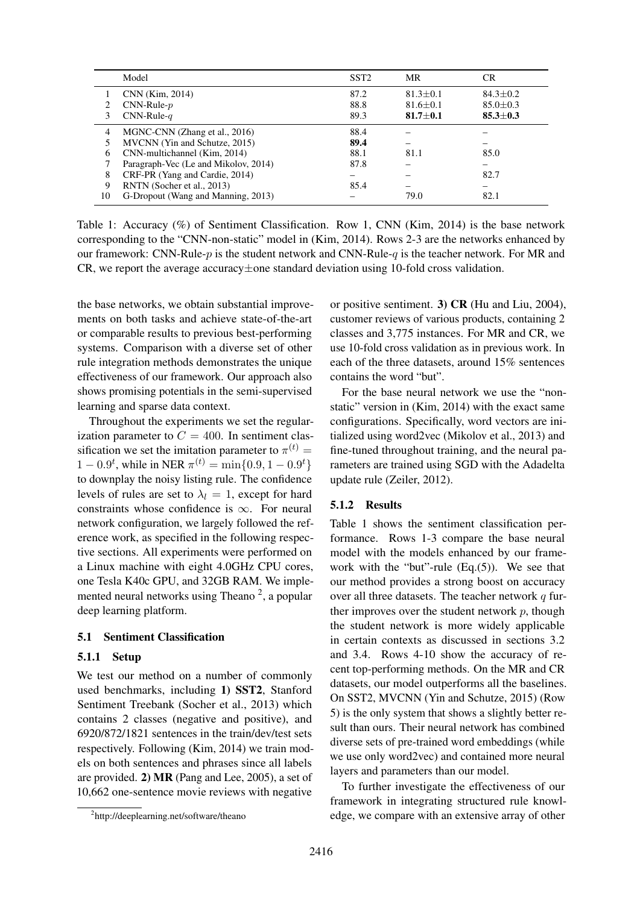|                | Model                                | SST <sub>2</sub> | MR             | CR.            |
|----------------|--------------------------------------|------------------|----------------|----------------|
|                | CNN (Kim, 2014)                      | 87.2             | $81.3 \pm 0.1$ | $84.3 \pm 0.2$ |
| $\mathfrak{D}$ | $CNN-Rule-p$                         | 88.8             | $81.6 \pm 0.1$ | $85.0 \pm 0.3$ |
| 3              | $CNN-Rule-q$                         | 89.3             | $81.7 \pm 0.1$ | $85.3 \pm 0.3$ |
| 4              | MGNC-CNN (Zhang et al., 2016)        | 88.4             |                |                |
|                | MVCNN (Yin and Schutze, 2015)        | 89.4             |                |                |
| 6              | CNN-multichannel (Kim, 2014)         | 88.1             | 81.1           | 85.0           |
|                | Paragraph-Vec (Le and Mikolov, 2014) | 87.8             |                |                |
| 8              | CRF-PR (Yang and Cardie, 2014)       |                  |                | 82.7           |
| 9              | RNTN (Socher et al., 2013)           | 85.4             |                |                |
| 10             | G-Dropout (Wang and Manning, 2013)   |                  | 79.0           | 82.1           |

Table 1: Accuracy (%) of Sentiment Classification. Row 1, CNN (Kim, 2014) is the base network corresponding to the "CNN-non-static" model in (Kim, 2014). Rows 2-3 are the networks enhanced by our framework: CNN-Rule- $p$  is the student network and CNN-Rule- $q$  is the teacher network. For MR and CR, we report the average accuracy $\pm$ one standard deviation using 10-fold cross validation.

the base networks, we obtain substantial improvements on both tasks and achieve state-of-the-art or comparable results to previous best-performing systems. Comparison with a diverse set of other rule integration methods demonstrates the unique effectiveness of our framework. Our approach also shows promising potentials in the semi-supervised learning and sparse data context.

Throughout the experiments we set the regularization parameter to  $C = 400$ . In sentiment classification we set the imitation parameter to  $\pi^{(t)}$  =  $1 - 0.9^t$ , while in NER  $\pi^{(t)} = \min\{0.9, 1 - 0.9^t\}$ to downplay the noisy listing rule. The confidence levels of rules are set to  $\lambda_l = 1$ , except for hard constraints whose confidence is  $\infty$ . For neural network configuration, we largely followed the reference work, as specified in the following respective sections. All experiments were performed on a Linux machine with eight 4.0GHz CPU cores, one Tesla K40c GPU, and 32GB RAM. We implemented neural networks using Theano<sup>2</sup>, a popular deep learning platform.

# 5.1 Sentiment Classification

## 5.1.1 Setup

We test our method on a number of commonly used benchmarks, including 1) SST2, Stanford Sentiment Treebank (Socher et al., 2013) which contains 2 classes (negative and positive), and 6920/872/1821 sentences in the train/dev/test sets respectively. Following (Kim, 2014) we train models on both sentences and phrases since all labels are provided. 2) MR (Pang and Lee, 2005), a set of 10,662 one-sentence movie reviews with negative

or positive sentiment. 3) CR (Hu and Liu, 2004), customer reviews of various products, containing 2 classes and 3,775 instances. For MR and CR, we use 10-fold cross validation as in previous work. In each of the three datasets, around 15% sentences contains the word "but".

For the base neural network we use the "nonstatic" version in (Kim, 2014) with the exact same configurations. Specifically, word vectors are initialized using word2vec (Mikolov et al., 2013) and fine-tuned throughout training, and the neural parameters are trained using SGD with the Adadelta update rule (Zeiler, 2012).

## 5.1.2 Results

Table 1 shows the sentiment classification performance. Rows 1-3 compare the base neural model with the models enhanced by our framework with the "but"-rule (Eq.(5)). We see that our method provides a strong boost on accuracy over all three datasets. The teacher network  $q$  further improves over the student network  $p$ , though the student network is more widely applicable in certain contexts as discussed in sections 3.2 and 3.4. Rows 4-10 show the accuracy of recent top-performing methods. On the MR and CR datasets, our model outperforms all the baselines. On SST2, MVCNN (Yin and Schutze, 2015) (Row 5) is the only system that shows a slightly better result than ours. Their neural network has combined diverse sets of pre-trained word embeddings (while we use only word2vec) and contained more neural layers and parameters than our model.

To further investigate the effectiveness of our framework in integrating structured rule knowledge, we compare with an extensive array of other

<sup>2</sup> http://deeplearning.net/software/theano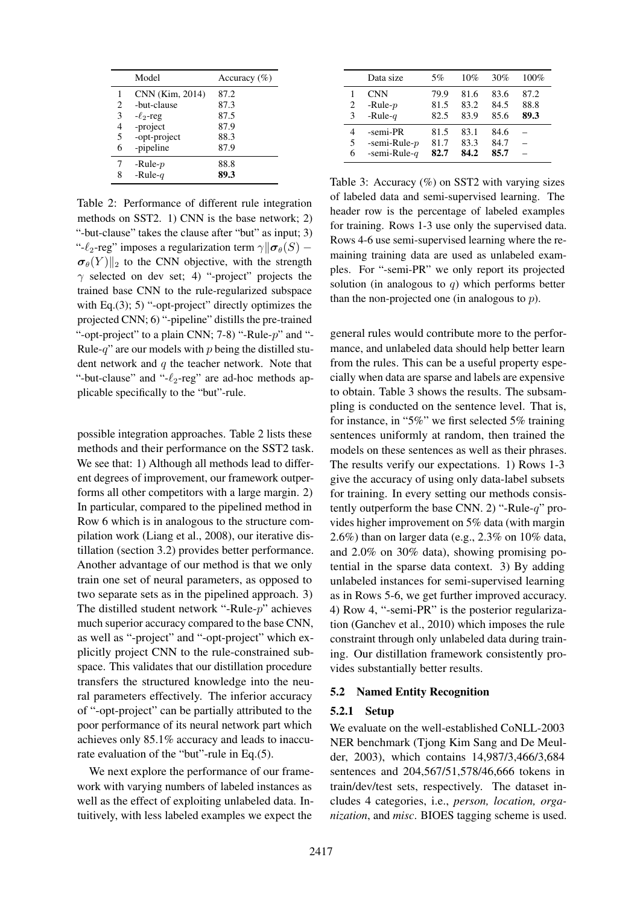|   | Model           | Accuracy $(\% )$ |
|---|-----------------|------------------|
|   | CNN (Kim, 2014) | 87.2             |
| 2 | -but-clause     | 87.3             |
| 3 | $-\ell_2$ -reg  | 87.5             |
| 4 | -project        | 87.9             |
| 5 | -opt-project    | 88.3             |
| 6 | -pipeline       | 87.9             |
|   | -Rule- $p$      | 88.8             |
| 8 | -Rule- $q$      | 89.3             |

Table 2: Performance of different rule integration methods on SST2. 1) CNN is the base network; 2) "-but-clause" takes the clause after "but" as input; 3) "- $\ell_2$ -reg" imposes a regularization term  $\gamma$  $\|\boldsymbol{\sigma}_{\theta}(S) \sigma_{\theta}(Y)$ ||<sub>2</sub> to the CNN objective, with the strength  $\gamma$  selected on dev set; 4) "-project" projects the trained base CNN to the rule-regularized subspace with Eq.(3); 5) "-opt-project" directly optimizes the projected CNN; 6) "-pipeline" distills the pre-trained "-opt-project" to a plain CNN;  $7-8$ ) "-Rule- $p$ " and "-Rule-q" are our models with  $p$  being the distilled student network and  $q$  the teacher network. Note that "-but-clause" and "- $\ell_2$ -reg" are ad-hoc methods applicable specifically to the "but"-rule.

possible integration approaches. Table 2 lists these methods and their performance on the SST2 task. We see that: 1) Although all methods lead to different degrees of improvement, our framework outperforms all other competitors with a large margin. 2) In particular, compared to the pipelined method in Row 6 which is in analogous to the structure compilation work (Liang et al., 2008), our iterative distillation (section 3.2) provides better performance. Another advantage of our method is that we only train one set of neural parameters, as opposed to two separate sets as in the pipelined approach. 3) The distilled student network "-Rule-p" achieves much superior accuracy compared to the base CNN, as well as "-project" and "-opt-project" which explicitly project CNN to the rule-constrained subspace. This validates that our distillation procedure transfers the structured knowledge into the neural parameters effectively. The inferior accuracy of "-opt-project" can be partially attributed to the poor performance of its neural network part which achieves only 85.1% accuracy and leads to inaccurate evaluation of the "but"-rule in Eq.(5).

We next explore the performance of our framework with varying numbers of labeled instances as well as the effect of exploiting unlabeled data. Intuitively, with less labeled examples we expect the

|   | Data size       | 5%   | 10%  | 30%  | 100% |
|---|-----------------|------|------|------|------|
|   | <b>CNN</b>      | 79.9 | 81.6 | 83.6 | 87.2 |
| 2 | -Rule- $p$      | 81.5 | 83.2 | 84.5 | 88.8 |
| 3 | -Rule- $q$      | 82.5 | 83.9 | 85.6 | 89.3 |
| 4 | -semi-PR        | 81.5 | 83.1 | 84.6 |      |
| 5 | -semi-Rule- $p$ | 81.7 | 83.3 | 84.7 |      |
| 6 | -semi-Rule- $q$ | 82.7 | 84.2 | 85.7 |      |

Table 3: Accuracy  $(\%)$  on SST2 with varying sizes of labeled data and semi-supervised learning. The header row is the percentage of labeled examples for training. Rows 1-3 use only the supervised data. Rows 4-6 use semi-supervised learning where the remaining training data are used as unlabeled examples. For "-semi-PR" we only report its projected solution (in analogous to  $q$ ) which performs better than the non-projected one (in analogous to  $p$ ).

general rules would contribute more to the performance, and unlabeled data should help better learn from the rules. This can be a useful property especially when data are sparse and labels are expensive to obtain. Table 3 shows the results. The subsampling is conducted on the sentence level. That is, for instance, in "5%" we first selected 5% training sentences uniformly at random, then trained the models on these sentences as well as their phrases. The results verify our expectations. 1) Rows 1-3 give the accuracy of using only data-label subsets for training. In every setting our methods consistently outperform the base CNN. 2) "-Rule-q" provides higher improvement on 5% data (with margin 2.6%) than on larger data (e.g., 2.3% on 10% data, and 2.0% on 30% data), showing promising potential in the sparse data context. 3) By adding unlabeled instances for semi-supervised learning as in Rows 5-6, we get further improved accuracy. 4) Row 4, "-semi-PR" is the posterior regularization (Ganchev et al., 2010) which imposes the rule constraint through only unlabeled data during training. Our distillation framework consistently provides substantially better results.

## 5.2 Named Entity Recognition

#### 5.2.1 Setup

We evaluate on the well-established CoNLL-2003 NER benchmark (Tjong Kim Sang and De Meulder, 2003), which contains 14,987/3,466/3,684 sentences and 204,567/51,578/46,666 tokens in train/dev/test sets, respectively. The dataset includes 4 categories, i.e., *person, location, organization*, and *misc*. BIOES tagging scheme is used.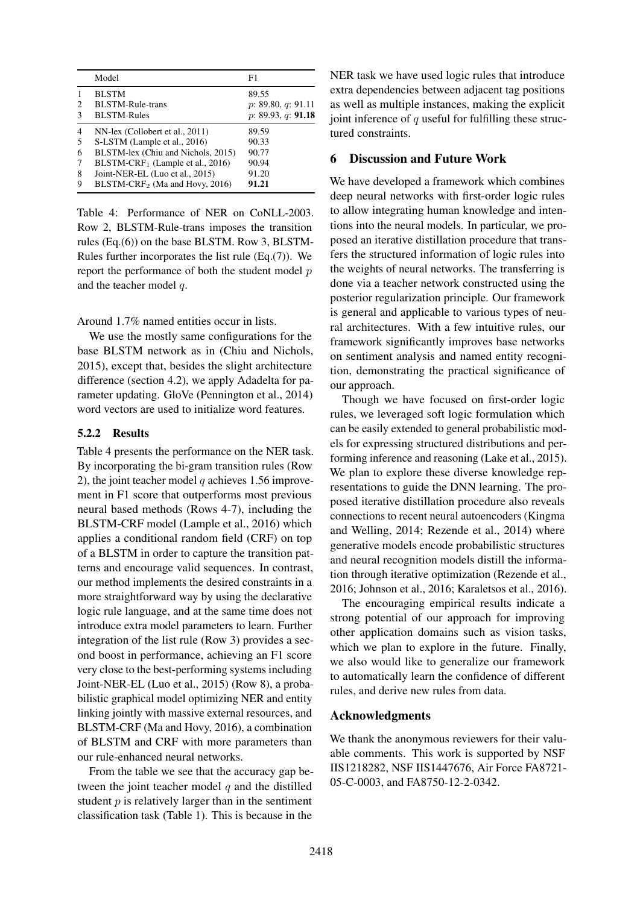|                | Model                              | F1                 |
|----------------|------------------------------------|--------------------|
| $\mathbf{1}$   | <b>BLSTM</b>                       | 89.55              |
| 2              | <b>BLSTM-Rule-trans</b>            | p: 89.80, q: 91.11 |
| 3              | <b>BLSTM-Rules</b>                 | p: 89.93, q: 91.18 |
| $\overline{4}$ | NN-lex (Collobert et al., 2011)    | 89.59              |
| 5              | S-LSTM (Lample et al., 2016)       | 90.33              |
| 6              | BLSTM-lex (Chiu and Nichols, 2015) | 90.77              |
| 7              | $BLSTM-CRF1$ (Lample et al., 2016) | 90.94              |
| 8              | Joint-NER-EL (Luo et al., 2015)    | 91.20              |
| 9              | $BLSTM-CRF_2$ (Ma and Hovy, 2016)  | 91.21              |
|                |                                    |                    |

Table 4: Performance of NER on CoNLL-2003. Row 2, BLSTM-Rule-trans imposes the transition rules (Eq.(6)) on the base BLSTM. Row 3, BLSTM-Rules further incorporates the list rule (Eq.(7)). We report the performance of both the student model  $p$ and the teacher model q.

Around 1.7% named entities occur in lists.

We use the mostly same configurations for the base BLSTM network as in (Chiu and Nichols, 2015), except that, besides the slight architecture difference (section 4.2), we apply Adadelta for parameter updating. GloVe (Pennington et al., 2014) word vectors are used to initialize word features.

## 5.2.2 Results

Table 4 presents the performance on the NER task. By incorporating the bi-gram transition rules (Row 2), the joint teacher model  $q$  achieves 1.56 improvement in F1 score that outperforms most previous neural based methods (Rows 4-7), including the BLSTM-CRF model (Lample et al., 2016) which applies a conditional random field (CRF) on top of a BLSTM in order to capture the transition patterns and encourage valid sequences. In contrast, our method implements the desired constraints in a more straightforward way by using the declarative logic rule language, and at the same time does not introduce extra model parameters to learn. Further integration of the list rule (Row 3) provides a second boost in performance, achieving an F1 score very close to the best-performing systems including Joint-NER-EL (Luo et al., 2015) (Row 8), a probabilistic graphical model optimizing NER and entity linking jointly with massive external resources, and BLSTM-CRF (Ma and Hovy, 2016), a combination of BLSTM and CRF with more parameters than our rule-enhanced neural networks.

From the table we see that the accuracy gap between the joint teacher model  $q$  and the distilled student  $p$  is relatively larger than in the sentiment classification task (Table 1). This is because in the

NER task we have used logic rules that introduce extra dependencies between adjacent tag positions as well as multiple instances, making the explicit joint inference of  $q$  useful for fulfilling these structured constraints.

# 6 Discussion and Future Work

We have developed a framework which combines deep neural networks with first-order logic rules to allow integrating human knowledge and intentions into the neural models. In particular, we proposed an iterative distillation procedure that transfers the structured information of logic rules into the weights of neural networks. The transferring is done via a teacher network constructed using the posterior regularization principle. Our framework is general and applicable to various types of neural architectures. With a few intuitive rules, our framework significantly improves base networks on sentiment analysis and named entity recognition, demonstrating the practical significance of our approach.

Though we have focused on first-order logic rules, we leveraged soft logic formulation which can be easily extended to general probabilistic models for expressing structured distributions and performing inference and reasoning (Lake et al., 2015). We plan to explore these diverse knowledge representations to guide the DNN learning. The proposed iterative distillation procedure also reveals connections to recent neural autoencoders (Kingma and Welling, 2014; Rezende et al., 2014) where generative models encode probabilistic structures and neural recognition models distill the information through iterative optimization (Rezende et al., 2016; Johnson et al., 2016; Karaletsos et al., 2016).

The encouraging empirical results indicate a strong potential of our approach for improving other application domains such as vision tasks, which we plan to explore in the future. Finally, we also would like to generalize our framework to automatically learn the confidence of different rules, and derive new rules from data.

## Acknowledgments

We thank the anonymous reviewers for their valuable comments. This work is supported by NSF IIS1218282, NSF IIS1447676, Air Force FA8721- 05-C-0003, and FA8750-12-2-0342.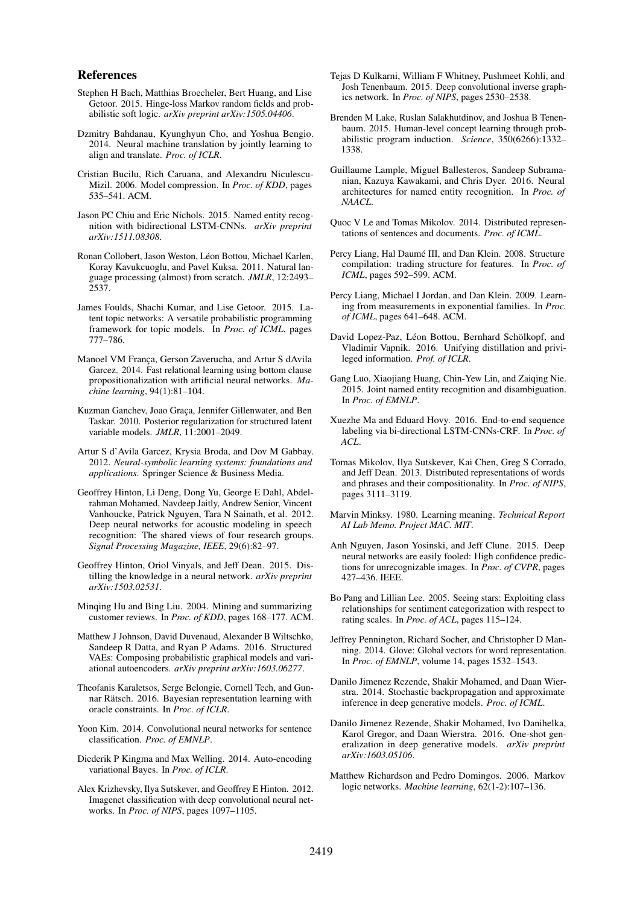#### References

- Stephen H Bach, Matthias Broecheler, Bert Huang, and Lise Getoor. 2015. Hinge-loss Markov random fields and probabilistic soft logic. *arXiv preprint arXiv:1505.04406*.
- Dzmitry Bahdanau, Kyunghyun Cho, and Yoshua Bengio. 2014. Neural machine translation by jointly learning to align and translate. *Proc. of ICLR*.
- Cristian Bucilu, Rich Caruana, and Alexandru Niculescu-Mizil. 2006. Model compression. In *Proc. of KDD*, pages 535–541. ACM.
- Jason PC Chiu and Eric Nichols. 2015. Named entity recognition with bidirectional LSTM-CNNs. *arXiv preprint arXiv:1511.08308*.
- Ronan Collobert, Jason Weston, Léon Bottou, Michael Karlen, Koray Kavukcuoglu, and Pavel Kuksa. 2011. Natural language processing (almost) from scratch. *JMLR*, 12:2493– 2537.
- James Foulds, Shachi Kumar, and Lise Getoor. 2015. Latent topic networks: A versatile probabilistic programming framework for topic models. In *Proc. of ICML*, pages 777–786.
- Manoel VM Franca, Gerson Zaverucha, and Artur S dAvila Garcez. 2014. Fast relational learning using bottom clause propositionalization with artificial neural networks. *Machine learning*, 94(1):81–104.
- Kuzman Ganchev, Joao Graça, Jennifer Gillenwater, and Ben Taskar. 2010. Posterior regularization for structured latent variable models. *JMLR*, 11:2001–2049.
- Artur S d'Avila Garcez, Krysia Broda, and Dov M Gabbay. 2012. *Neural-symbolic learning systems: foundations and applications*. Springer Science & Business Media.
- Geoffrey Hinton, Li Deng, Dong Yu, George E Dahl, Abdelrahman Mohamed, Navdeep Jaitly, Andrew Senior, Vincent Vanhoucke, Patrick Nguyen, Tara N Sainath, et al. 2012. Deep neural networks for acoustic modeling in speech recognition: The shared views of four research groups. *Signal Processing Magazine, IEEE*, 29(6):82–97.
- Geoffrey Hinton, Oriol Vinyals, and Jeff Dean. 2015. Distilling the knowledge in a neural network. *arXiv preprint arXiv:1503.02531*.
- Minqing Hu and Bing Liu. 2004. Mining and summarizing customer reviews. In *Proc. of KDD*, pages 168–177. ACM.
- Matthew J Johnson, David Duvenaud, Alexander B Wiltschko, Sandeep R Datta, and Ryan P Adams. 2016. Structured VAEs: Composing probabilistic graphical models and variational autoencoders. *arXiv preprint arXiv:1603.06277*.
- Theofanis Karaletsos, Serge Belongie, Cornell Tech, and Gunnar Rätsch. 2016. Bayesian representation learning with oracle constraints. In *Proc. of ICLR*.
- Yoon Kim. 2014. Convolutional neural networks for sentence classification. *Proc. of EMNLP*.
- Diederik P Kingma and Max Welling. 2014. Auto-encoding variational Bayes. In *Proc. of ICLR*.
- Alex Krizhevsky, Ilya Sutskever, and Geoffrey E Hinton. 2012. Imagenet classification with deep convolutional neural networks. In *Proc. of NIPS*, pages 1097–1105.
- Tejas D Kulkarni, William F Whitney, Pushmeet Kohli, and Josh Tenenbaum. 2015. Deep convolutional inverse graphics network. In *Proc. of NIPS*, pages 2530–2538.
- Brenden M Lake, Ruslan Salakhutdinov, and Joshua B Tenenbaum. 2015. Human-level concept learning through probabilistic program induction. *Science*, 350(6266):1332– 1338.
- Guillaume Lample, Miguel Ballesteros, Sandeep Subramanian, Kazuya Kawakami, and Chris Dyer. 2016. Neural architectures for named entity recognition. In *Proc. of NAACL*.
- Quoc V Le and Tomas Mikolov. 2014. Distributed representations of sentences and documents. *Proc. of ICML*.
- Percy Liang, Hal Daumé III, and Dan Klein. 2008. Structure compilation: trading structure for features. In *Proc. of ICML*, pages 592–599. ACM.
- Percy Liang, Michael I Jordan, and Dan Klein. 2009. Learning from measurements in exponential families. In *Proc. of ICML*, pages 641–648. ACM.
- David Lopez-Paz, Léon Bottou, Bernhard Schölkopf, and Vladimir Vapnik. 2016. Unifying distillation and privileged information. *Prof. of ICLR*.
- Gang Luo, Xiaojiang Huang, Chin-Yew Lin, and Zaiqing Nie. 2015. Joint named entity recognition and disambiguation. In *Proc. of EMNLP*.
- Xuezhe Ma and Eduard Hovy. 2016. End-to-end sequence labeling via bi-directional LSTM-CNNs-CRF. In *Proc. of ACL*.
- Tomas Mikolov, Ilya Sutskever, Kai Chen, Greg S Corrado, and Jeff Dean. 2013. Distributed representations of words and phrases and their compositionality. In *Proc. of NIPS*, pages 3111–3119.
- Marvin Minksy. 1980. Learning meaning. *Technical Report AI Lab Memo. Project MAC. MIT*.
- Anh Nguyen, Jason Yosinski, and Jeff Clune. 2015. Deep neural networks are easily fooled: High confidence predictions for unrecognizable images. In *Proc. of CVPR*, pages 427–436. IEEE.
- Bo Pang and Lillian Lee. 2005. Seeing stars: Exploiting class relationships for sentiment categorization with respect to rating scales. In *Proc. of ACL*, pages 115–124.
- Jeffrey Pennington, Richard Socher, and Christopher D Manning. 2014. Glove: Global vectors for word representation. In *Proc. of EMNLP*, volume 14, pages 1532–1543.
- Danilo Jimenez Rezende, Shakir Mohamed, and Daan Wierstra. 2014. Stochastic backpropagation and approximate inference in deep generative models. *Proc. of ICML*.
- Danilo Jimenez Rezende, Shakir Mohamed, Ivo Danihelka, Karol Gregor, and Daan Wierstra. 2016. One-shot generalization in deep generative models. *arXiv preprint arXiv:1603.05106*.
- Matthew Richardson and Pedro Domingos. 2006. Markov logic networks. *Machine learning*, 62(1-2):107–136.